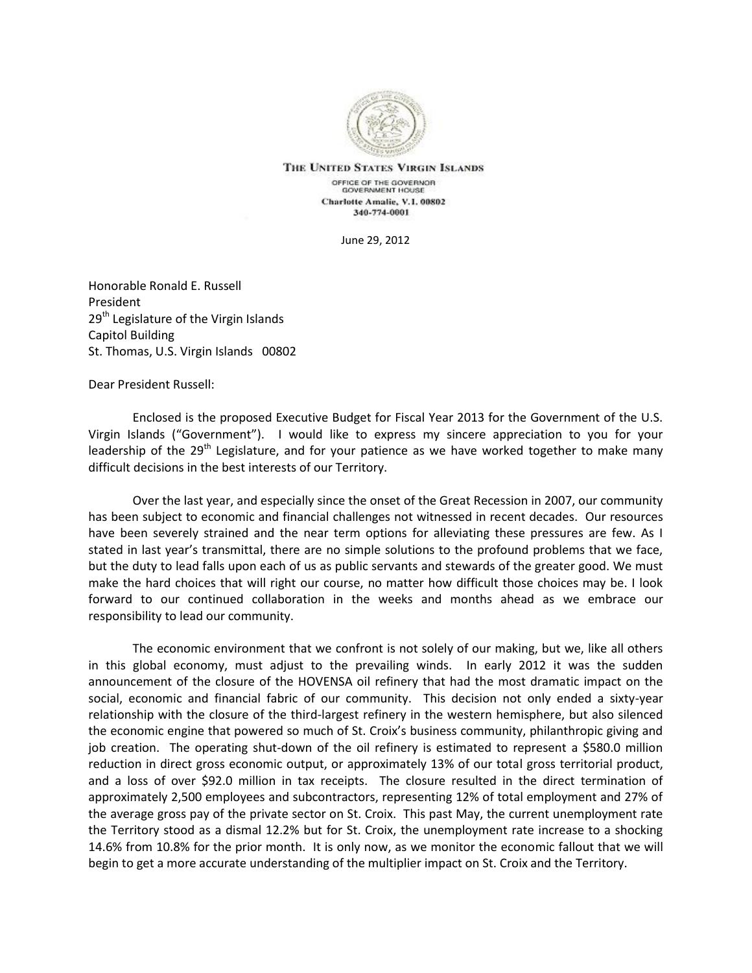

THE UNITED STATES VIRGIN ISLANDS OFFICE OF THE GOVERNOR **GOVERNMENT HOUSE** Charlotte Amalie, V.I. 00802 340-774-0001

June 29, 2012

Honorable Ronald E. Russell President 29<sup>th</sup> Legislature of the Virgin Islands Capitol Building St. Thomas, U.S. Virgin Islands 00802

Dear President Russell:

Enclosed is the proposed Executive Budget for Fiscal Year 2013 for the Government of the U.S. Virgin Islands ("Government"). I would like to express my sincere appreciation to you for your leadership of the  $29<sup>th</sup>$  Legislature, and for your patience as we have worked together to make many difficult decisions in the best interests of our Territory.

Over the last year, and especially since the onset of the Great Recession in 2007, our community has been subject to economic and financial challenges not witnessed in recent decades. Our resources have been severely strained and the near term options for alleviating these pressures are few. As I stated in last year's transmittal, there are no simple solutions to the profound problems that we face, but the duty to lead falls upon each of us as public servants and stewards of the greater good. We must make the hard choices that will right our course, no matter how difficult those choices may be. I look forward to our continued collaboration in the weeks and months ahead as we embrace our responsibility to lead our community.

The economic environment that we confront is not solely of our making, but we, like all others in this global economy, must adjust to the prevailing winds. In early 2012 it was the sudden announcement of the closure of the HOVENSA oil refinery that had the most dramatic impact on the social, economic and financial fabric of our community. This decision not only ended a sixty-year relationship with the closure of the third-largest refinery in the western hemisphere, but also silenced the economic engine that powered so much of St. Croix's business community, philanthropic giving and job creation. The operating shut-down of the oil refinery is estimated to represent a \$580.0 million reduction in direct gross economic output, or approximately 13% of our total gross territorial product, and a loss of over \$92.0 million in tax receipts. The closure resulted in the direct termination of approximately 2,500 employees and subcontractors, representing 12% of total employment and 27% of the average gross pay of the private sector on St. Croix. This past May, the current unemployment rate the Territory stood as a dismal 12.2% but for St. Croix, the unemployment rate increase to a shocking 14.6% from 10.8% for the prior month. It is only now, as we monitor the economic fallout that we will begin to get a more accurate understanding of the multiplier impact on St. Croix and the Territory.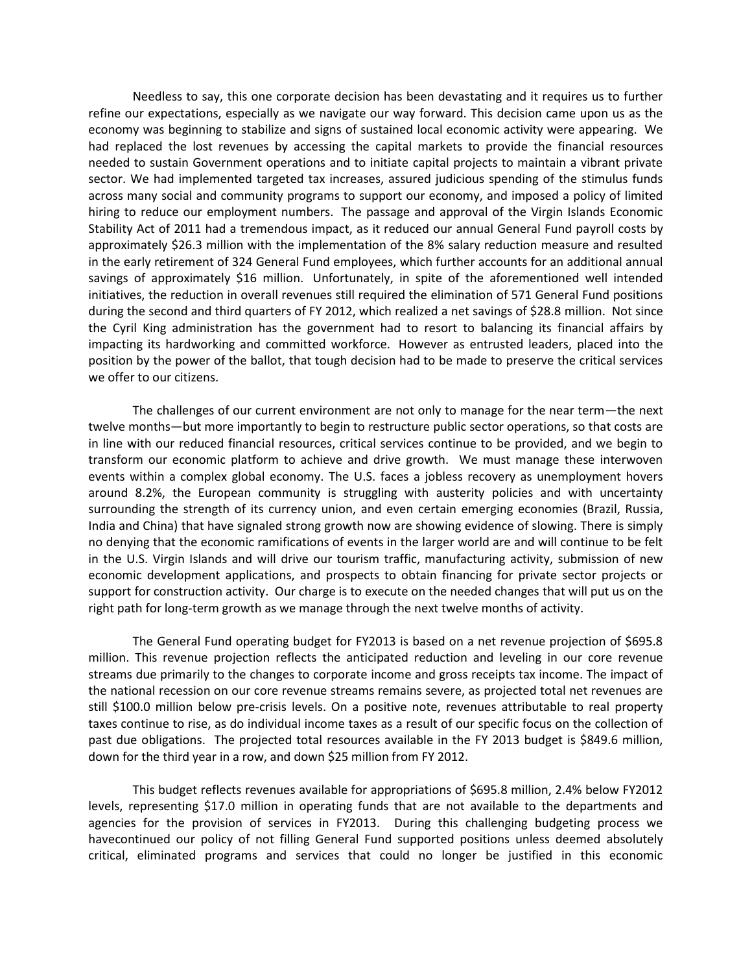Needless to say, this one corporate decision has been devastating and it requires us to further refine our expectations, especially as we navigate our way forward. This decision came upon us as the economy was beginning to stabilize and signs of sustained local economic activity were appearing. We had replaced the lost revenues by accessing the capital markets to provide the financial resources needed to sustain Government operations and to initiate capital projects to maintain a vibrant private sector. We had implemented targeted tax increases, assured judicious spending of the stimulus funds across many social and community programs to support our economy, and imposed a policy of limited hiring to reduce our employment numbers. The passage and approval of the Virgin Islands Economic Stability Act of 2011 had a tremendous impact, as it reduced our annual General Fund payroll costs by approximately \$26.3 million with the implementation of the 8% salary reduction measure and resulted in the early retirement of 324 General Fund employees, which further accounts for an additional annual savings of approximately \$16 million. Unfortunately, in spite of the aforementioned well intended initiatives, the reduction in overall revenues still required the elimination of 571 General Fund positions during the second and third quarters of FY 2012, which realized a net savings of \$28.8 million. Not since the Cyril King administration has the government had to resort to balancing its financial affairs by impacting its hardworking and committed workforce. However as entrusted leaders, placed into the position by the power of the ballot, that tough decision had to be made to preserve the critical services we offer to our citizens.

The challenges of our current environment are not only to manage for the near term—the next twelve months—but more importantly to begin to restructure public sector operations, so that costs are in line with our reduced financial resources, critical services continue to be provided, and we begin to transform our economic platform to achieve and drive growth. We must manage these interwoven events within a complex global economy. The U.S. faces a jobless recovery as unemployment hovers around 8.2%, the European community is struggling with austerity policies and with uncertainty surrounding the strength of its currency union, and even certain emerging economies (Brazil, Russia, India and China) that have signaled strong growth now are showing evidence of slowing. There is simply no denying that the economic ramifications of events in the larger world are and will continue to be felt in the U.S. Virgin Islands and will drive our tourism traffic, manufacturing activity, submission of new economic development applications, and prospects to obtain financing for private sector projects or support for construction activity. Our charge is to execute on the needed changes that will put us on the right path for long-term growth as we manage through the next twelve months of activity.

The General Fund operating budget for FY2013 is based on a net revenue projection of \$695.8 million. This revenue projection reflects the anticipated reduction and leveling in our core revenue streams due primarily to the changes to corporate income and gross receipts tax income. The impact of the national recession on our core revenue streams remains severe, as projected total net revenues are still \$100.0 million below pre-crisis levels. On a positive note, revenues attributable to real property taxes continue to rise, as do individual income taxes as a result of our specific focus on the collection of past due obligations. The projected total resources available in the FY 2013 budget is \$849.6 million, down for the third year in a row, and down \$25 million from FY 2012.

This budget reflects revenues available for appropriations of \$695.8 million, 2.4% below FY2012 levels, representing \$17.0 million in operating funds that are not available to the departments and agencies for the provision of services in FY2013. During this challenging budgeting process we havecontinued our policy of not filling General Fund supported positions unless deemed absolutely critical, eliminated programs and services that could no longer be justified in this economic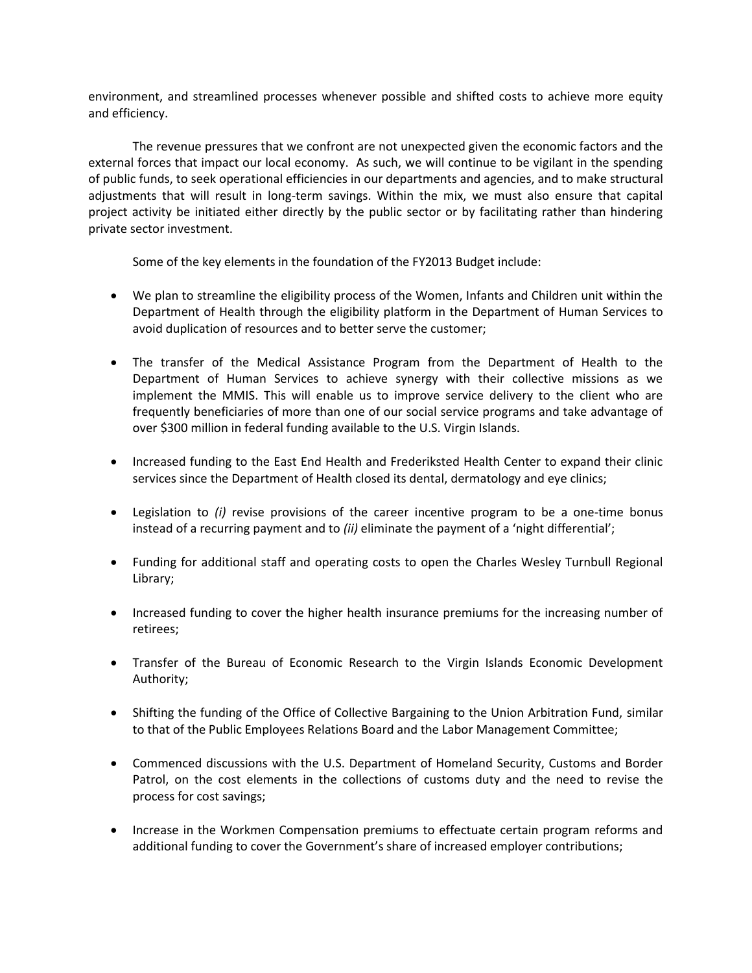environment, and streamlined processes whenever possible and shifted costs to achieve more equity and efficiency.

The revenue pressures that we confront are not unexpected given the economic factors and the external forces that impact our local economy. As such, we will continue to be vigilant in the spending of public funds, to seek operational efficiencies in our departments and agencies, and to make structural adjustments that will result in long-term savings. Within the mix, we must also ensure that capital project activity be initiated either directly by the public sector or by facilitating rather than hindering private sector investment.

Some of the key elements in the foundation of the FY2013 Budget include:

- We plan to streamline the eligibility process of the Women, Infants and Children unit within the Department of Health through the eligibility platform in the Department of Human Services to avoid duplication of resources and to better serve the customer;
- The transfer of the Medical Assistance Program from the Department of Health to the Department of Human Services to achieve synergy with their collective missions as we implement the MMIS. This will enable us to improve service delivery to the client who are frequently beneficiaries of more than one of our social service programs and take advantage of over \$300 million in federal funding available to the U.S. Virgin Islands.
- Increased funding to the East End Health and Frederiksted Health Center to expand their clinic services since the Department of Health closed its dental, dermatology and eye clinics;
- Legislation to *(i)* revise provisions of the career incentive program to be a one-time bonus instead of a recurring payment and to *(ii)* eliminate the payment of a 'night differential';
- Funding for additional staff and operating costs to open the Charles Wesley Turnbull Regional Library;
- Increased funding to cover the higher health insurance premiums for the increasing number of retirees;
- Transfer of the Bureau of Economic Research to the Virgin Islands Economic Development Authority;
- Shifting the funding of the Office of Collective Bargaining to the Union Arbitration Fund, similar to that of the Public Employees Relations Board and the Labor Management Committee;
- Commenced discussions with the U.S. Department of Homeland Security, Customs and Border Patrol, on the cost elements in the collections of customs duty and the need to revise the process for cost savings;
- Increase in the Workmen Compensation premiums to effectuate certain program reforms and additional funding to cover the Government's share of increased employer contributions;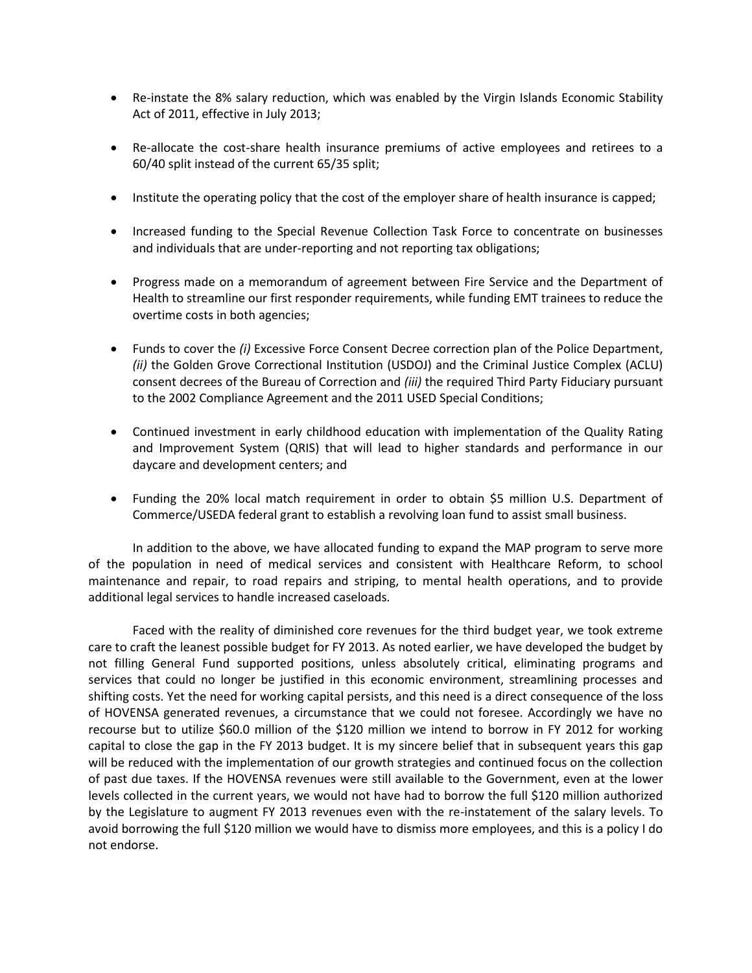- Re-instate the 8% salary reduction, which was enabled by the Virgin Islands Economic Stability Act of 2011, effective in July 2013;
- Re-allocate the cost-share health insurance premiums of active employees and retirees to a 60/40 split instead of the current 65/35 split;
- Institute the operating policy that the cost of the employer share of health insurance is capped;
- Increased funding to the Special Revenue Collection Task Force to concentrate on businesses and individuals that are under-reporting and not reporting tax obligations;
- Progress made on a memorandum of agreement between Fire Service and the Department of Health to streamline our first responder requirements, while funding EMT trainees to reduce the overtime costs in both agencies;
- Funds to cover the *(i)* Excessive Force Consent Decree correction plan of the Police Department, *(ii)* the Golden Grove Correctional Institution (USDOJ) and the Criminal Justice Complex (ACLU) consent decrees of the Bureau of Correction and *(iii)* the required Third Party Fiduciary pursuant to the 2002 Compliance Agreement and the 2011 USED Special Conditions;
- Continued investment in early childhood education with implementation of the Quality Rating and Improvement System (QRIS) that will lead to higher standards and performance in our daycare and development centers; and
- Funding the 20% local match requirement in order to obtain \$5 million U.S. Department of Commerce/USEDA federal grant to establish a revolving loan fund to assist small business.

In addition to the above, we have allocated funding to expand the MAP program to serve more of the population in need of medical services and consistent with Healthcare Reform, to school maintenance and repair, to road repairs and striping, to mental health operations, and to provide additional legal services to handle increased caseloads.

Faced with the reality of diminished core revenues for the third budget year, we took extreme care to craft the leanest possible budget for FY 2013. As noted earlier, we have developed the budget by not filling General Fund supported positions, unless absolutely critical, eliminating programs and services that could no longer be justified in this economic environment, streamlining processes and shifting costs. Yet the need for working capital persists, and this need is a direct consequence of the loss of HOVENSA generated revenues, a circumstance that we could not foresee. Accordingly we have no recourse but to utilize \$60.0 million of the \$120 million we intend to borrow in FY 2012 for working capital to close the gap in the FY 2013 budget. It is my sincere belief that in subsequent years this gap will be reduced with the implementation of our growth strategies and continued focus on the collection of past due taxes. If the HOVENSA revenues were still available to the Government, even at the lower levels collected in the current years, we would not have had to borrow the full \$120 million authorized by the Legislature to augment FY 2013 revenues even with the re-instatement of the salary levels. To avoid borrowing the full \$120 million we would have to dismiss more employees, and this is a policy I do not endorse.